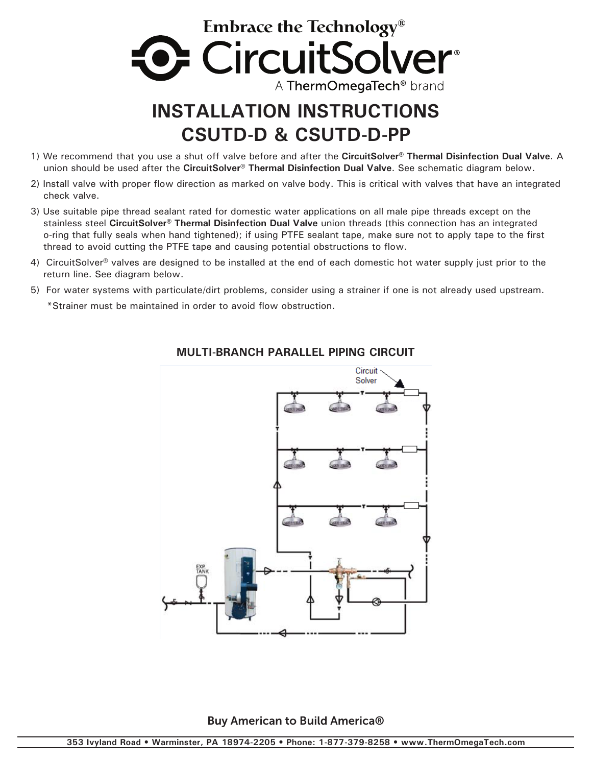

## **INSTALLATION INSTRUCTIONS CSUTD-D & CSUTD-D-PP**

- 1) We recommend that you use a shut off valve before and after the **CircuitSolver® Thermal Disinfection Dual Valve**. A union should be used after the **CircuitSolver® Thermal Disinfection Dual Valve**. See schematic diagram below.
- 2) Install valve with proper flow direction as marked on valve body. This is critical with valves that have an integrated check valve.
- 3) Use suitable pipe thread sealant rated for domestic water applications on all male pipe threads except on the stainless steel **CircuitSolver® Thermal Disinfection Dual Valve** union threads (this connection has an integrated o-ring that fully seals when hand tightened); if using PTFE sealant tape, make sure not to apply tape to the first thread to avoid cutting the PTFE tape and causing potential obstructions to flow.
- 4) CircuitSolver<sup>®</sup> valves are designed to be installed at the end of each domestic hot water supply just prior to the return line. See diagram below.
- 5) For water systems with particulate/dirt problems, consider using a strainer if one is not already used upstream. \*Strainer must be maintained in order to avoid flow obstruction.



## **MULTI-BRANCH PARALLEL PIPING CIRCUIT**

Buy American to Build America®